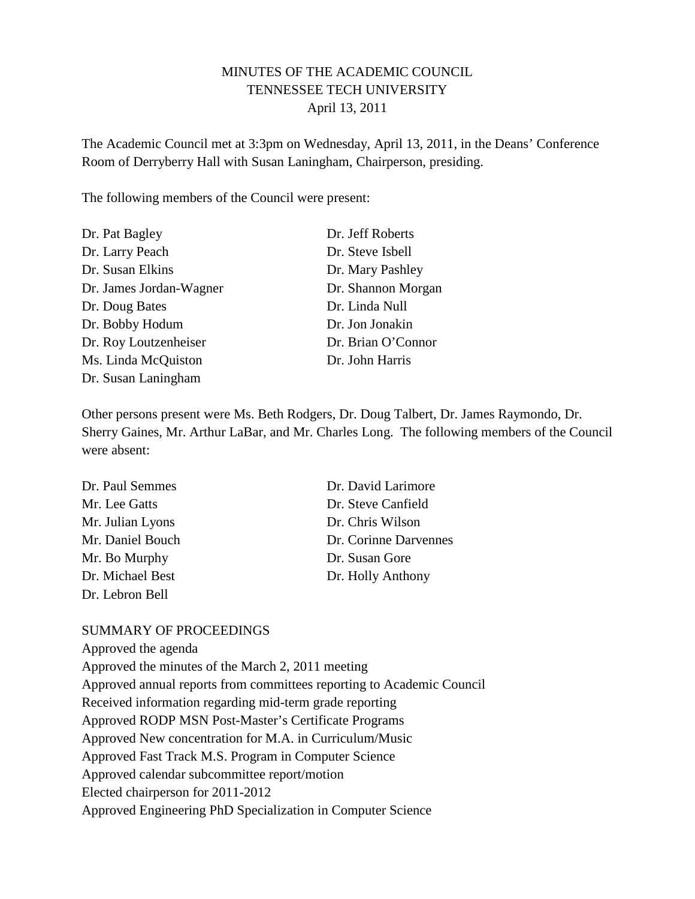## MINUTES OF THE ACADEMIC COUNCIL TENNESSEE TECH UNIVERSITY April 13, 2011

The Academic Council met at 3:3pm on Wednesday, April 13, 2011, in the Deans' Conference Room of Derryberry Hall with Susan Laningham, Chairperson, presiding.

The following members of the Council were present:

| Dr. Pat Bagley          | Dr. Jeff Roberts   |
|-------------------------|--------------------|
| Dr. Larry Peach         | Dr. Steve Isbell   |
| Dr. Susan Elkins        | Dr. Mary Pashley   |
| Dr. James Jordan-Wagner | Dr. Shannon Morgan |
| Dr. Doug Bates          | Dr. Linda Null     |
| Dr. Bobby Hodum         | Dr. Jon Jonakin    |
| Dr. Roy Loutzenheiser   | Dr. Brian O'Connor |
| Ms. Linda McQuiston     | Dr. John Harris    |
| Dr. Susan Laningham     |                    |

Other persons present were Ms. Beth Rodgers, Dr. Doug Talbert, Dr. James Raymondo, Dr. Sherry Gaines, Mr. Arthur LaBar, and Mr. Charles Long. The following members of the Council were absent:

| Dr. Paul Semmes  | Dr. David Larimore    |
|------------------|-----------------------|
| Mr. Lee Gatts    | Dr. Steve Canfield    |
| Mr. Julian Lyons | Dr. Chris Wilson      |
| Mr. Daniel Bouch | Dr. Corinne Darvennes |
| Mr. Bo Murphy    | Dr. Susan Gore        |
| Dr. Michael Best | Dr. Holly Anthony     |
| Dr. Lebron Bell  |                       |

#### SUMMARY OF PROCEEDINGS

Approved the agenda Approved the minutes of the March 2, 2011 meeting Approved annual reports from committees reporting to Academic Council Received information regarding mid-term grade reporting Approved RODP MSN Post-Master's Certificate Programs Approved New concentration for M.A. in Curriculum/Music Approved Fast Track M.S. Program in Computer Science Approved calendar subcommittee report/motion Elected chairperson for 2011-2012 Approved Engineering PhD Specialization in Computer Science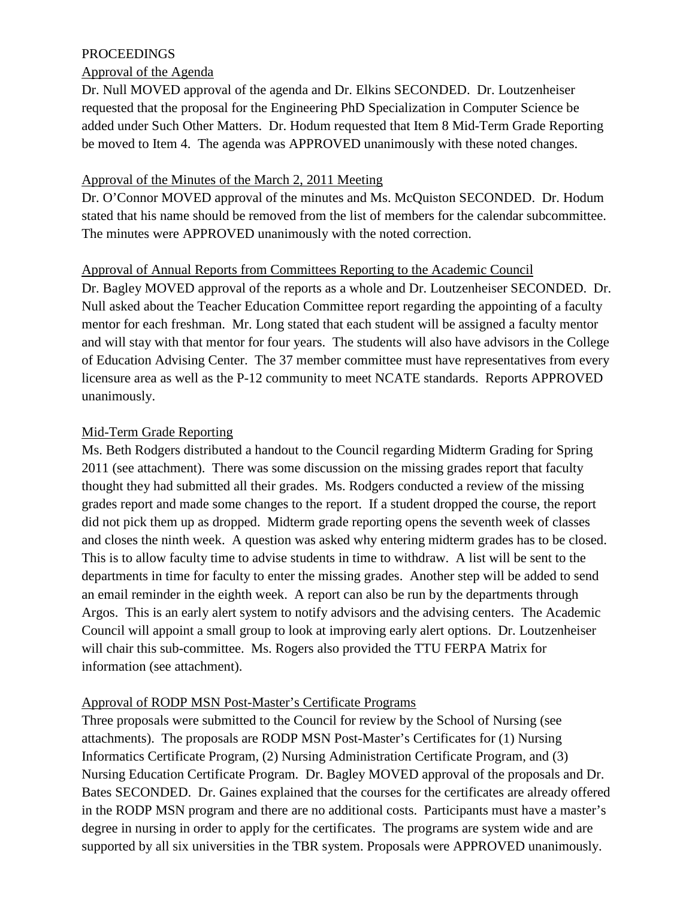### PROCEEDINGS

#### Approval of the Agenda

Dr. Null MOVED approval of the agenda and Dr. Elkins SECONDED. Dr. Loutzenheiser requested that the proposal for the Engineering PhD Specialization in Computer Science be added under Such Other Matters. Dr. Hodum requested that Item 8 Mid-Term Grade Reporting be moved to Item 4. The agenda was APPROVED unanimously with these noted changes.

#### Approval of the Minutes of the March 2, 2011 Meeting

Dr. O'Connor MOVED approval of the minutes and Ms. McQuiston SECONDED. Dr. Hodum stated that his name should be removed from the list of members for the calendar subcommittee. The minutes were APPROVED unanimously with the noted correction.

### Approval of Annual Reports from Committees Reporting to the Academic Council

Dr. Bagley MOVED approval of the reports as a whole and Dr. Loutzenheiser SECONDED. Dr. Null asked about the Teacher Education Committee report regarding the appointing of a faculty mentor for each freshman. Mr. Long stated that each student will be assigned a faculty mentor and will stay with that mentor for four years. The students will also have advisors in the College of Education Advising Center. The 37 member committee must have representatives from every licensure area as well as the P-12 community to meet NCATE standards. Reports APPROVED unanimously.

### Mid-Term Grade Reporting

Ms. Beth Rodgers distributed a handout to the Council regarding Midterm Grading for Spring 2011 (see attachment). There was some discussion on the missing grades report that faculty thought they had submitted all their grades. Ms. Rodgers conducted a review of the missing grades report and made some changes to the report. If a student dropped the course, the report did not pick them up as dropped. Midterm grade reporting opens the seventh week of classes and closes the ninth week. A question was asked why entering midterm grades has to be closed. This is to allow faculty time to advise students in time to withdraw. A list will be sent to the departments in time for faculty to enter the missing grades. Another step will be added to send an email reminder in the eighth week. A report can also be run by the departments through Argos. This is an early alert system to notify advisors and the advising centers. The Academic Council will appoint a small group to look at improving early alert options. Dr. Loutzenheiser will chair this sub-committee. Ms. Rogers also provided the TTU FERPA Matrix for information (see attachment).

## Approval of RODP MSN Post-Master's Certificate Programs

Three proposals were submitted to the Council for review by the School of Nursing (see attachments). The proposals are RODP MSN Post-Master's Certificates for (1) Nursing Informatics Certificate Program, (2) Nursing Administration Certificate Program, and (3) Nursing Education Certificate Program. Dr. Bagley MOVED approval of the proposals and Dr. Bates SECONDED. Dr. Gaines explained that the courses for the certificates are already offered in the RODP MSN program and there are no additional costs. Participants must have a master's degree in nursing in order to apply for the certificates. The programs are system wide and are supported by all six universities in the TBR system. Proposals were APPROVED unanimously.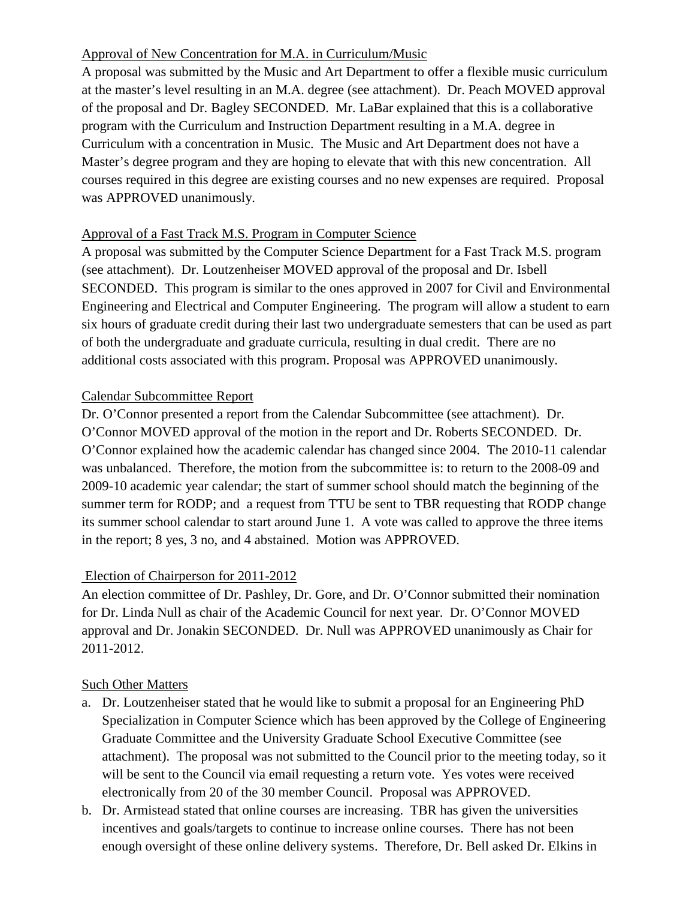# Approval of New Concentration for M.A. in Curriculum/Music

A proposal was submitted by the Music and Art Department to offer a flexible music curriculum at the master's level resulting in an M.A. degree (see attachment). Dr. Peach MOVED approval of the proposal and Dr. Bagley SECONDED. Mr. LaBar explained that this is a collaborative program with the Curriculum and Instruction Department resulting in a M.A. degree in Curriculum with a concentration in Music. The Music and Art Department does not have a Master's degree program and they are hoping to elevate that with this new concentration. All courses required in this degree are existing courses and no new expenses are required. Proposal was APPROVED unanimously.

## Approval of a Fast Track M.S. Program in Computer Science

A proposal was submitted by the Computer Science Department for a Fast Track M.S. program (see attachment). Dr. Loutzenheiser MOVED approval of the proposal and Dr. Isbell SECONDED. This program is similar to the ones approved in 2007 for Civil and Environmental Engineering and Electrical and Computer Engineering. The program will allow a student to earn six hours of graduate credit during their last two undergraduate semesters that can be used as part of both the undergraduate and graduate curricula, resulting in dual credit. There are no additional costs associated with this program. Proposal was APPROVED unanimously.

### Calendar Subcommittee Report

Dr. O'Connor presented a report from the Calendar Subcommittee (see attachment). Dr. O'Connor MOVED approval of the motion in the report and Dr. Roberts SECONDED. Dr. O'Connor explained how the academic calendar has changed since 2004. The 2010-11 calendar was unbalanced. Therefore, the motion from the subcommittee is: to return to the 2008-09 and 2009-10 academic year calendar; the start of summer school should match the beginning of the summer term for RODP; and a request from TTU be sent to TBR requesting that RODP change its summer school calendar to start around June 1. A vote was called to approve the three items in the report; 8 yes, 3 no, and 4 abstained. Motion was APPROVED.

## Election of Chairperson for 2011-2012

An election committee of Dr. Pashley, Dr. Gore, and Dr. O'Connor submitted their nomination for Dr. Linda Null as chair of the Academic Council for next year. Dr. O'Connor MOVED approval and Dr. Jonakin SECONDED. Dr. Null was APPROVED unanimously as Chair for 2011-2012.

## Such Other Matters

- a. Dr. Loutzenheiser stated that he would like to submit a proposal for an Engineering PhD Specialization in Computer Science which has been approved by the College of Engineering Graduate Committee and the University Graduate School Executive Committee (see attachment). The proposal was not submitted to the Council prior to the meeting today, so it will be sent to the Council via email requesting a return vote. Yes votes were received electronically from 20 of the 30 member Council. Proposal was APPROVED.
- b. Dr. Armistead stated that online courses are increasing. TBR has given the universities incentives and goals/targets to continue to increase online courses. There has not been enough oversight of these online delivery systems. Therefore, Dr. Bell asked Dr. Elkins in